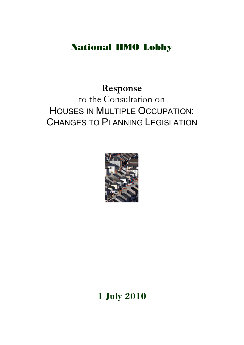# National HMO Lobby

# **Response**  to the Consultation on HOUSES IN MULTIPLE OCCUPATION: CHANGES TO PLANNING LEGISLATION



# **1 July 2010**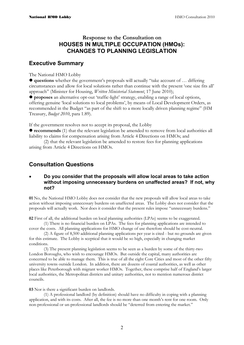### **Response to the Consultation on HOUSES IN MULTIPLE OCCUPATION (HMOs): CHANGES TO PLANNING LEGISLATION**

### **Executive Summary**

The National HMO Lobby

z **questions** whether the government's proposals will actually "take account of … differing circumstances and allow for local solutions rather than continue with the present 'one size fits all' approach" (Minister for Housing, *Written Ministerial Statement*, 17 June 2010);

z **proposes** an alternative opt-out 'traffic-light' strategy, enabling a range of local options, offering genuine 'local solutions to local problems', by means of Local Development Orders, as recommended in the Budget "as part of the shift to a more locally driven planning regime" (HM Treasury, *Budget 2010*, para 1.89).

If the government resolves not to accept its proposal, the Lobby

**• recommends** (1) that the relevant legislation be amended to remove from local authorities all liability to claims for compensation arising from Article 4 Directions on HMOs; and

(2) that the relevant legislation be amended to restore fees for planning applications arising from Article 4 Directions on HMOs.

### **Consultation Questions**

#### • **Do you consider that the proposals will allow local areas to take action without imposing unnecessary burdens on unaffected areas? If not, why not?**

**01** No, the National HMO Lobby does not consider that the new proposals will allow local areas to take action without imposing unnecessary burdens on unaffected areas. The Lobby does not consider that the proposals will actually work. Nor does it consider that the present rules impose "unnecessary burdens."

**02** First of all, the additional burden on local planning authorities (LPAs) seems to be exaggerated.

(1) There is no financial burden on LPAs. The fees for planning applications are intended to cover the costs. All planning applications for HMO change of use therefore should be cost-neutral.

(2) A figure of 8,500 additional planning applications per year is cited - but no grounds are given for this estimate. The Lobby is sceptical that it would be so high, especially in changing market conditions.

(3) The present planning legislation seems to be seen as a burden by some of the thirty-two London Boroughs, who wish to encourage HMOs. But outside the capital, many authorities are concerned to be able to manage them. This is true of all the eight Core Cities and most of the other fifty university towns outside London. In addition, there are dozens of coastal authorities, as well as other places like Peterborough with migrant worker HMOs. Together, these comprise half of England's larger local authorities, the Metropolitan districts and unitary authorities, not to mention numerous district councils.

**03** Nor is there a significant burden on landlords.

(1) A professional landlord (by definition) should have no difficulty in coping with a planning application, and with its costs. After all, the fee is no more than one month's rent for one room. Only non-professional or un-professional landlords should be "deterred from entering the market."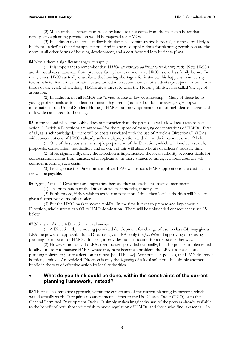#### National HMO Lobby **HMO** Consultation 2010

(2) Much of the consternation raised by landlords has come from the mistaken belief that retrospective planning permission would be required for HMOs.

(3) In addition to the fees, landlords do also face 'administrative burdens', but these are likely to be 'front-loaded' to their first application. And in any case, applications for planning permission are the norm in all other forms of housing development, and a cost factored into business plans.

**04** Nor is there a significant danger to supply.

(1) It is important to remember that *HMOs are* **not** *new additions to the housing stock.* New HMOs are almost always *conversions* from previous family homes - one more HMO is one less family home. In many cases, HMOs actually exacerbate the housing shortage - for instance, this happens in university towns, where first homes for families are turned into second homes for students (occupied for only twothirds of the year). If anything, HMOs are a threat to what the Housing Minister has called 'the age of aspiration.'

(2) In addition, not all HMOs are "a vital source of low cost housing." Many of those let to young professionals or to students command high rents (outside London, on average £70pppw: information from Unipol Student Homes). HMOs can be symptomatic both of high-demand areas and of low-demand areas for housing.

**05** In the second place, the Lobby does not consider that "the proposals will allow local areas to take action." Article 4 Directions are *impractical* for the purpose of managing concentrations of HMOs. First of all, as is acknowledged, "there will be costs associated with the use of Article 4 Directions." (LPAs with concentrations of HMOs already suffer a disproportionate drain on their resources: see **19** below.)

(1) One of these costs is the simple preparation of the Direction, which will involve research, proposals, consultation, notification, and so on. All this will absorb hours of officers' valuable time.

(2) More significantly, once the Direction is implemented, the local authority becomes liable for compensation claims from unsuccessful applicants. In these straitened times, few local councils will consider incurring such costs.

(3) Finally, once the Direction is in place, LPAs will process HMO applications at a cost - as no fee will be payable.

**06** Again, Article 4 Directions are impractical because they are such a protracted instrument.

(1) The preparation of the Direction will take months, if not years.

(2) Furthermore, if they wish to avoid compensation claims, then local authorities will have to give a further twelve months notice.

(3) But the HMO market moves rapidly. In the time it takes to prepare and implement a Direction, whole streets can fall to HMO domination. There will be unintended consequences: see **15** below.

**07** Nor is an Article 4 Direction a local *solution*.

(1) A Direction (by removing permitted development for change of use to class C4) may give a LPA the power of approval. But a Direction gives LPAs only the *possibility* of approving or refusing planning permission for HMOs. In itself, it provides no justification for a decision either way.

(2) However, not only do LPAs need powers provided nationally, but also policies implemented locally. In order to manage HMOs where they have become a problem, the LPA also needs local planning policies to justify a decision to refuse [see **11** below]. Without such policies, the LPA's discretion is strictly limited. An Article 4 Direction is only the *beginning* of a local solution. It is simply another hurdle in the way of effective action by local authorities.

#### • **What do you think could be done, within the constraints of the current planning framework, instead?**

**08** There is an alternative approach, within the constraints of the current planning framework, which would actually work. It requires no amendments, either to the Use Classes Order (UCO) or to the General Permitted Development Order. It simply makes imaginative use of the powers already available, to the benefit of both those who wish to avoid regulation of HMOs, and those who find it essential. In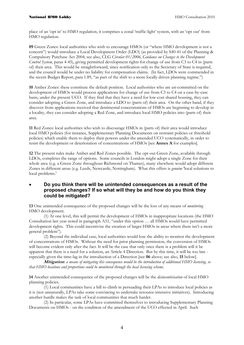place of an 'opt in' to HMO regulation, it comprises a zonal 'traffic-light' system, with an 'opt out' from HMO regulation.

**09** Green Zones: local authorities who wish to encourage HMOs (or "where HMO development is not a concern") would introduce a Local Development Order (LDO) (as provided by S40-41 of the Planning & Compulsory Purchase Act 2004; see also, CLG *Circular 01/2006, Guidance on Changes to the Development Control System, paras 4-45), giving permitted development rights for change of use from C3 to C4 in (parts* of) their area. This would be straightforward, since notification only to the Secretary of State is required, and the council would be under no liability for compensation claims. (In fact, LDOs were commended in the recent Budget Report, para 1.89, "as part of the shift to a more locally driven planning regime.")

**10** Amber Zones: these constitute the default position. Local authorities who are un-committed on the development of HMOs would process applications for change of use from C3 to C4 on a case-by-case basis, under the present UCO. If they find that they have a need for low-cost shared housing, they can consider adopting a Green Zone, and introduce a LDO to (parts of) their area. On the other hand, if they discover from applications received that detrimental concentrations of HMOs are beginning to develop in a locality, they can consider adopting a Red Zone, and introduce local HMO policies into (parts of) their area.

**11** Red Zones: local authorities who wish to discourage HMOs in (parts of) their area would introduce local HMO policies (for instance, Supplementary Planning Documents on restraint policies or threshold policies) which enable them to deploy their powers under the amended UCO systematically, in order to resist the development or deterioration of concentrations of HMOs [see **Annex A** for examples].

**12** The present rules make Amber and Red Zones possible. The opt-out Green Zone, available through LDOs, completes the range of options. Some councils in London might adopt a single Zone for their whole area (e.g. a Green Zone throughout Richmond on Thames), many elsewhere would adopt different Zones in different areas (e.g. Leeds, Newcastle, Nottingham). What this offers is *genuine* 'local solutions to local problems.'

#### • **Do you think there will be unintended consequences as a result of the proposed changes? If so what will they be and how do you think they could be mitigated?**

**13** One unintended consequence of the proposed changes will be the loss of any means of *monitoring* HMO development.

(1) At one level, this will permit the development of HMOs in inappropriate locations (the HMO Consultation last year noted in paragraph A51, "under this option … all HMOs would have permitted development rights. This could incentivise the creation of larger HMOs in areas where there isn't a more general problem").

(2) Beyond the individual case, local authorities would lose the ability to monitor the development of concentrations of HMOs. Without the need for prior planning permission, the conversion of HMOs will become evident only after the fact. It will be the case that only once there is a problem will it be apparent that there is a need for a solution, an Article 4 Direction. But by this time, it will be too late especially given the time-lag in the introduction of a Direction [see **06** above; see also, **15** below].

**Mitigation***: a means of mitigating this consequence would be the introduction of additional HMO licensing, so that HMO locations and proportions could be monitored through the local licensing scheme.*

**14** Another unintended consequence of the proposed changes will be the *disincentivisation* of local HMO planning policies.

(1) Local communities have a hill to climb in persuading their LPAs to introduce local policies as it is (not unnaturally, LPAs take some convincing to undertake resource-intensive initiatives). Introducing another hurdle makes the task of local communities that much harder.

(2) In particular, some LPAs have committed themselves to introducing Supplementary Planning Documents on HMOs - on the condition of the amendment of the UCO effected in April. Such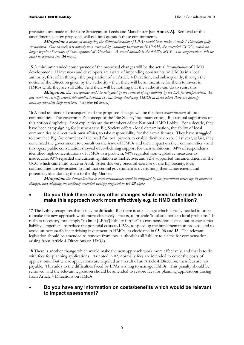provisions are made in the Core Strategies of Leeds and Manchester [see **Annex A**]. Removal of this amendment, as now proposed, will call into question these commitments.

**Mitigation***: a means of mitigating the disincentivisation of LPAs would be to make Article 4 Directions fully streamlined. One obstacle has already been removed by Statutory Instrument 2010 654, the amended GPDO, which no longer requires Secretary of State approval of Directions. A second obstacle is the liability of LPAs to compensation: this too could be removed [see* **20** *below].*

**15** A third unintended consequence of the proposed changes will be the actual *incentivisation* of HMO development. If investors and developers are aware of impending constraints on HMOs in a local authority, first of all through the preparation of an Article 4 Direction, and subsequently, through the notice of the Direction given by the authority - then there will be an incentive for them to invest in HMOs while they are still able. And there will be nothing that the authority can do to resist this.

**Mitigation***: this consequence could be mitigated by the removal of any liability by the LA for compensation. In any event, no socially responsible landlord should be considering developing HMOs in areas where there are already disproportionately high numbers. [See also* **06** *above.]*

**16** A final unintended consequence of the proposed changes will be the deep *demoralisation* of local communities. The government's concept of the 'Big Society' has many critics. But natural supporters of this notion (implicitly, if not explicitly) are the members of the National HMO Lobby. For a decade, they have been campaigning for just what the Big Society offers - local determination, the ability of local communities to direct their own affairs, to take responsibility for their own futures. They have struggled to convince Big Government of the need for local powers to enable them to do so. Last year, at last, they convinced the government to consult on the issue of HMOs and their impact on their communities - and this open, public consultation showed overwhelming support for their ambitions. 94% of respondents identified high concentrations of HMOs as a problem; 94% regarded non-legislative measures as inadequate; 93% regarded the current legislation as ineffective; and 92% supported the amendment of the UCO which came into force in April. After this very practical exercise of the Big Society, local communities are devastated to find that central government is overturning their achievement, and potentially abandoning them to the Big Market.

**Mitigation***: the demoralisation of local communities could be mitigated by the government reviewing its proposed changes, and adopting the modestly amended strategy proposed in* **09-13** *above.* 

#### • **Do you think there are any other changes which need to be made to make this approach work more effectively e.g. to HMO definition?**

**17** The Lobby recognises that it may be difficult. But there is one change which is really needed in order to make the new approach work more effectively - that is, to provide 'local solutions to local problems.' It really is necessary, not simply "to limit [LPAs'] liability further" to compensation claims, but to *remove* that liability altogether - to reduce the potential costs to LPAs, to speed up the implementation process, and to avoid un-necessarily incentivising investment in HMOs, as elucidated in **05**, **06** and **15**. The relevant legislation should be amended to remove from local authorities all liability to claims for compensation arising from Article 4 Directions on HMOs.

**18** There is another change which would make the new approach work more effectively, and that is to do with fees for planning applications. As noted in 02, normally fees are intended to cover the costs of applications. But where applications are required as a result of an Article 4 Direction, then fees are not payable. This adds to the difficulties faced by LPAs wishing to manage HMOs. This penalty should be removed, and the relevant legislation should be amended to restore fees for planning applications arising from Article 4 Directions on HMOs.

#### • **Do you have any information on costs/benefits which would be relevant to impact assessment?**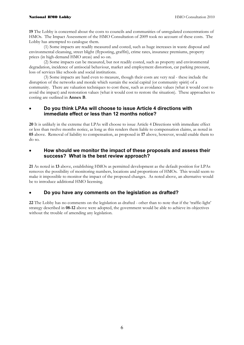#### National HMO Lobby **HMO** Consultation 2010

**19** The Lobby is concerned about the costs to councils and communities of unregulated concentrations of HMOs. The Impact Assessment of the HMO Consultation of 2009 took no account of these costs. The Lobby has attempted to catalogue them.

(1) Some impacts are readily measured and costed, such as huge increases in waste disposal and environmental cleansing, street blight (flyposting, graffiti), crime rates, insurance premiums, property prices (in high-demand HMO areas) and so on.

(2) Some impacts can be measured, but not readily costed, such as property and environmental degradation, incidence of antisocial behaviour, market and employment distortion, car parking pressure, loss of services like schools and social institutions.

(3) Some impacts are hard even to measure, though their costs are very real - these include the disruption of the networks and morale which sustain the social capital (or community spirit) of a community. There are valuation techniques to cost these, such as avoidance values (what it would cost to avoid the impact) and restoration values (what it would cost to restore the situation). These approaches to costing are outlined in **Annex B**.

#### • **Do you think LPAs will choose to issue Article 4 directions with immediate effect or less than 12 months notice?**

**20** It is unlikely in the extreme that LPAs will choose to issue Article 4 Directions with immediate effect or less than twelve months notice, as long as this renders them liable to compensation claims, as noted in **05** above. Removal of liability to compensation, as proposed in **17** above, however, would enable them to do so.

#### • **How should we monitor the impact of these proposals and assess their success? What is the best review approach?**

**21** As noted in **13** above, establishing HMOs as permitted development as the default position for LPAs removes the possibility of monitoring numbers, locations and proportions of HMOs. This would seem to make it impossible to monitor the impact of the proposed changes. As noted above, an alternative would be to introduce additional HMO licensing.

#### • **Do you have any comments on the legislation as drafted?**

**22** The Lobby has no comments on the legislation as drafted - other than to note that if the 'traffic-light' strategy described in **08-12** above were adopted, the government would be able to achieve its objectives without the trouble of amending any legislation.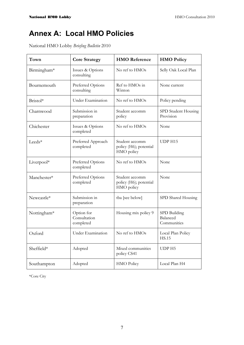## **Annex A: Local HMO Policies**

National HMO Lobby *Briefing Bulletin* 2010

| Town        | <b>Core Strategy</b>                    | <b>HMO</b> Reference                                   | <b>HMO Policy</b>                       |
|-------------|-----------------------------------------|--------------------------------------------------------|-----------------------------------------|
| Birmingham* | Issues & Options<br>consulting          | No ref to HMOs                                         | Selly Oak Local Plan                    |
| Bournemouth | Preferred Options<br>consulting         | Ref to HMOs in<br>Winton                               | None current                            |
| Bristol*    | Under Examination                       | No ref to HMOs                                         | Policy pending                          |
| Charnwood   | Submission in<br>preparation            | Student accomm<br>policy                               | SPD Student Housing<br>Provision        |
| Chichester  | Issues & Options<br>completed           | No ref to HMOs                                         | None                                    |
| Leeds*      | Preferred Approach<br>completed         | Student accomm<br>policy (H6); potential<br>HMO policy | UDP H15                                 |
| Liverpool*  | Preferred Options<br>completed          | No ref to HMOs                                         | None                                    |
| Manchester* | Preferred Options<br>completed          | Student accomm<br>policy (H6); potential<br>HMO policy | None                                    |
| Newcastle*  | Submission in<br>preparation            | tba [see below]                                        | SPD Shared Housing                      |
| Nottingham* | Option for<br>Consultation<br>completed | Housing mix policy 9                                   | SPD Building<br>Balanced<br>Communities |
| Oxford      | Under Examination                       | No ref to HMOs                                         | Local Plan Policy<br><b>HS.15</b>       |
| Sheffield*  | Adopted                                 | Mixed communities<br>policy CS41                       | UDP H5                                  |
| Southampton | Adopted                                 | <b>HMO Policy</b>                                      | Local Plan H4                           |

\*Core City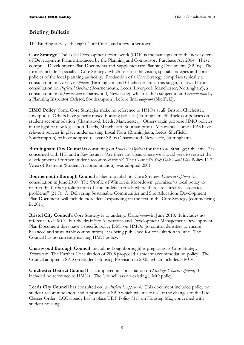#### **Briefing Bulletin**

The Briefing surveys the eight Core Cities, and a few other towns.

**Core Strategy** The Local Development Framework (LDF) is the name given to the new system of Development Plans introduced by the Planning and Compulsory Purchase Act 2004. These comprise Development Plan Documents and Supplementary Planning Documents (SPDs). The former include especially a Core Strategy, which sets out the vision, spatial strategies and core policies of the local planning authority. Production of a Core Strategy comprises typically a consultation on *Issues & Options* (Birmingham and Chichester are at this stage), followed by a consultation on *Preferred Options* (Bournemouth, Leeds, Liverpool, Manchester, Nottingham), a consultation on a *Submission* (Charnwood, Newcastle), which is then subject to an *Examination* by a Planning Inspector (Bristol, Southampton), before final *adoption* (Sheffield).

**HMO Policy** Some Core Strategies make no reference to HMOs at all (Bristol, Chichester, Liverpool). Others have generic mixed housing policies (Nottingham, Sheffield) or policies on student accommodation (Charnwood, Leeds, Manchester). Others again propose HMO policies in the light of new legislation (Leeds, Manchester, Southampton). Meanwhile, some LPAs have relevant policies in place under existing Local Plans (Birmingham, Leeds, Sheffield, Southampton) or have adopted relevant SPDs (Charnwood, Newcastle, Nottingham).

**Birmingham City Council** is consulting on *Issues & Options* for the Core Strategy; Objective 7 is concerned with HE, and a Key Issue is 'Are there any areas where we should seek to restrict the development of further student accommodation?' The Council's *Selly Oak Local Plan* Policy 11.22 'Area of Restraint (Student Accommodation)' was adopted 2001

**Bournemouth Borough Council** is due to publish its Core Strategy *Preferred Options* for consultation in June 2010. The 'Profile of Winton & Moordown' promises "a local policy to restrict the further proliferation of student lets in roads where there are currently associated problems" (21.7). A 'Delivering Sustainable Communities and Site Allocations Development Plan Document' will include more detail expanding on the text in the Core Strategy (commencing in 2011).

**Bristol City Council**'s Core Strategy is to undergo *Examination* in June 2010. It includes no reference to HMOs, but the draft Site Allocations and Development Management Development Plan Document does have a specific policy DM1 on HMOs (to control densities to ensure balanced and sustainable communities), it is being published for consultation in June. The Council has no currently existing HMO policy.

**Charnwood Borough Council** [including Loughborough] is preparing its Core Strategy *Submission*. The Further Consultation of 2008 proposed a student accommodation policy. The Council adopted a SPD on Student Housing Provision in 2005, which includes HMOs.

**Chichester District Council** has completed its consultation on *Strategic Growth Options*; this included no reference to HMOs. The Council has no existing HMO policy.

**Leeds City Council** has consulted on its *Preferred Approach*. This document included policy on student accommodation, and it promises a SPD which will make use of the changes to the Use Classes Order. LCC already has in place UDP Policy H15 on Housing Mix, concerned with student housing.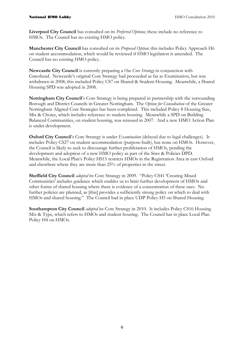**Liverpool City Council** has consulted on its *Preferred Options*; these include no reference to HMOs. The Council has no existing HMO policy.

**Manchester City Council** has consulted on its *Proposed Option*; this includes Policy Approach H6 on student accommodation, which would be reviewed if HMO legislation is amended. The Council has no existing HMO policy.

**Newcastle City Council** is currently preparing a *One Core Strategy* in conjunction with Gateshead. Newcastle's original Core Strategy had proceeded as far as Examination, but was withdrawn in 2008; this included Policy CS7 on Shared & Student Housing. Meanwhile, a Shared Housing SPD was adopted in 2008.

**Nottingham City Council**'s Core Strategy is being prepared in partnership with the surrounding Borough and District Councils in Greater Nottingham. The *Option for Consultation* of the Greater Nottingham Aligned Core Strategies has been completed. This included Policy 8 Housing Size, Mix & Choice, which includes reference to student housing. Meanwhile a SPD on Building Balanced Communities, on student housing, was reissued in 2007. And a new [HMO Action Plan](http://open.nottinghamcity.gov.uk/comm/agenda.asp?CtteMeetID=3207) is under development.

**Oxford City Council**'s Core Strategy is under *Examination* (delayed due to legal challenges). It includes Policy CS27 on student accommodation (purpose-built), but none on HMOs. However, the Council is likely to seek to discourage further proliferation of HMOs, pending the development and adoption of a new HMO policy as part of the Sites & Policies DPD. Meanwhile, the Local Plan's Policy HS15 restricts HMOs in the Registration Area in east Oxford and elsewhere where they are more than 25% of properties in the street.

**Sheffield City Council** *adopted* its Core Strategy in 2009. "Policy CS41 'Creating Mixed Communities' includes guidance which enables us to limit further development of HMOs and other forms of shared housing where there is evidence of a concentration of these uses. No further policies are planned, as [this] provides a sufficiently strong policy on which to deal with HMOs and shared housing." The Council had in place UDP Policy H5 on Shared Housing.

**Southampton City Council** *adopted* its Core Strategy in 2010. It includes Policy CS16 Housing Mix & Type, which refers to HMOs and student housing. The Council has in place Local Plan Policy H4 on HMOs.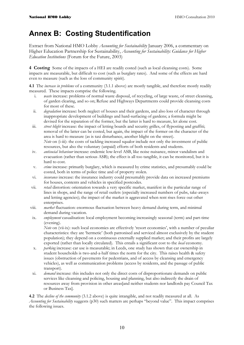## **Annex B: Costing Studentification**

Extract from National HMO Lobby *Accounting for Sustainability* January 2006, a commentary on Higher Education Partnership for Sustainability, *Accounting for Sustainability: Guidance for Higher Education Institutions* (Forum for the Future, 2003)

**4 Costing** Some of the impacts of a HEI are readily costed (such as local cleansing costs). Some impacts are measurable, but difficult to cost (such as burglary rates). And some of the effects are hard even to measure (such as the loss of community spirit).

**4.1** The *increase in problems* of a community (3.1.1 above) are mostly tangible, and therefore mostly readily measured. These impacts comprise the following.

- i. *waste* increase: problems of normal waste disposal, of recycling, of large waste, of street cleansing, of garden clearing, and so on; Refuse and Highways Departments could provide cleansing costs for most of these.
- ii. *degradation* increase: both neglect of houses and their gardens, and also loss of character through inappropriate development of buildings and hard-surfacing of gardens; a formula might be devised for the reparation of the former, but the latter is hard to measure, let alone cost.
- iii. *street blight* increase: the impact of letting boards and security grilles, of flyposting and graffiti; removal of the latter can be costed, but again, the impact of the former on the character of the area is hard to measure (as is taxi disturbance, another blight on the street). *Note* on (*i*-iii): the costs of tackling increased squalor include not only the investment of public resources, but also the voluntary (unpaid) efforts of both residents and students.
- iv. *antisocial behaviour* increase: endemic low-level ASB, like noise nuisance, minor vandalism and evacuation (rather than serious ASB); the effect is all too tangible, it can be monitored, but it is hard to cost.
- v. *crime* increase: primarily burglary, which is measured by crime statistics, and presumably could be costed, both in terms of police time and of property stolen.
- vi. *insurance* increase: the insurance industry could presumably provide data on increased premiums for houses, contents and vehicles in specified postcodes.
- vii. *retail* distortion: orientation towards a very specific market, manifest in the particular range of lines in shops, and the range of retail outlets (especially increased numbers of pubs, take-aways and letting agencies); the impact of the market is aggravated when rent rises force out other enterprises.
- viii. *market* fluctuation: enormous fluctuation between heavy demand during term, and minimal demand during vacation.
- ix. *employment* casualisation: local employment becoming increasingly seasonal (term) and part-time (evening).

*Note* on (vii-ix): such local economies are effectively 'resort economies', with a number of peculiar characteristics: they are 'hermetic' (both patronised and serviced almost exclusively by the student population); they depend on a continuous externally supplied market; and their profits are largely exported (rather than locally circulated). This entails a significant cost to the *local* economy.

- x. *parking* increase: car use is measurable; in Leeds, one study has shown that car ownership in student households is two-and-a-half times the norm for the city. This raises health & safety issues (obstruction of pavements for pedestrians, and of access by cleansing and emergency vehicles), as well as communication problems (access by residents, and the passage of public transport).
- xi. *demand* increase: this includes not only the direct costs of disproportionate demands on public services like cleansing and policing, housing and planning, but also indirectly the drain of resources away from provision in other areas[and neither students nor landlords pay Council Tax or Business Tax].

**4.2** The *decline of the community* (3.1.2 above) is quite intangible, and not readily measured at all. As *Accounting for Sustainability* suggests (p30) such matters are perhaps "beyond value". This impact comprises the following issues.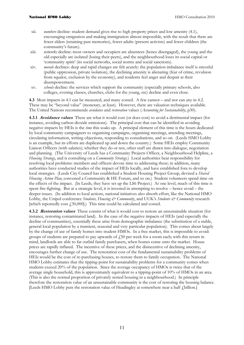- xii. *numbers* decline: student demand gives rise to high property prices and low amenity (4.1), encouraging emigration and making immigration almost impossible, with the result that there are fewer elders (retaining past memories), fewer adults (present activists) and fewer children (the community's future).
- xiii. *networks* decline: most owners and occupiers are absentees (hence disengaged), the young and the old especially are isolated (losing their peers), and the neighbourhood loses its social capital or 'community spirit' (its social networks, social norms and social sanctions).
- xiv. *morale* declines: deep and rapid changes are felt acutely: the population imbalance itself is stressful (public oppression, private isolation), the declining amenity is alienating (fear of crime, revulsion from squalor, exclusion by the economy), and residents feel anger and despair at their disempowerment.
- xv. *schools* decline: the services which support the community (especially primary schools, also colleges, evening classes, churches, clubs for the young, etc) decline and even close.

**4.3** Most impacts in 4.1 can be measured, and many costed. A few cannot – and nor can any in 4.2. These may be "beyond value" (monetary, at least). However, there are valuation techniques available. The United Nations recommends *avoidance* and *restoration* values (*Accounting for Sustainability*, p30).

**4.3.1 Avoidance values** These are what it would cost (or does cost) to avoid a detrimental impact (for instance, avoiding carbon dioxide emissions). The principal cost that can be identified in avoiding negative impacts by HEIs is the *time* this soaks up. A principal element of this time is the hours dedicated by local community campaigners to organising campaigns, organising meetings, attending meetings, circulating information, writing objections, responding to consultations, and so on. (Leeds HMO Lobby is an example, but its efforts are duplicated up and down the country.) Some HEIs employ Community Liaison Officers (with salaries); whether they do or not, other staff are drawn into dialogue, negotiation and planning. (The University of Leeds has a Community Projects Officer, a Neighbourhood Helpline, a *Housing Strategy*, and is consulting on a *Community Strategy*.) Local authorities bear responsibility for resolving local problems: members and officers devote time to addressing these; in addition, many authorities have conducted studies of the impact of HEIs locally, and have established fora to develop local strategies. (Leeds City Council has established a Student Housing Project Group, devised a *Shared Housing Action Plan*, convened a Community & HE Forum, and so on.) Student volunteers spend time on the effects of the impact. (In Leeds, they have set up the LS6 Project.) At one level, much of this time is spent fire-fighting. But at a strategic level, it is invested in attempting to resolve – hence avoid – the deeper issues. (In addition to local actions, national initiatives also absorb effort, like the National HMO Lobby, the Unipol conference *Students*, Housing & Community, and UUK's *Students* & Community research [which reportedly cost  $f_{1,30,000}$ ].) This time could be calculated and costed.

**4.3.2 Restoration values** These consist of what it would cost to restore an unsustainable situation (for instance, restoring contaminated land). In the case of the negative impacts of HEIs (and especially the decline of communities), essentially these arise from demographic imbalance (the substitution of a stable, general local population by a transient, seasonal and very particular population). This comes about largely by the change of use of family homes into student HMOs. In a free market, this is impossible to avoid: groups of students are prepared to pay upwards of  $f$ 50 per week for a room each; with this return in mind, landlords are able to far outbid family purchasers, when homes come onto the market. House prices are rapidly inflated. The incentive of these prices, and the disincentive of declining amenity, encourages further change of use. The restoration cost of the fundamental sustainability problems of HEIs would be the cost of re-purchasing houses, to restore them to family occupation. The National HMO Lobby estimates that the tipping-point for sustainability problems for a community comes when students exceed 20% of the population. Since the average occupancy of HMOs is twice that of the average single household, this is approximately equivalent to a tipping-point of 10% of HMOs in an area. (This is also the normal proportion of privately rented housing in a neighbourhood.) In principle therefore the restoration value of an unsustainable community is the cost of restoring the housing balance. [Leeds HMO Lobby puts the restoration value of Headingley at somewhere near a half *f* billion.]